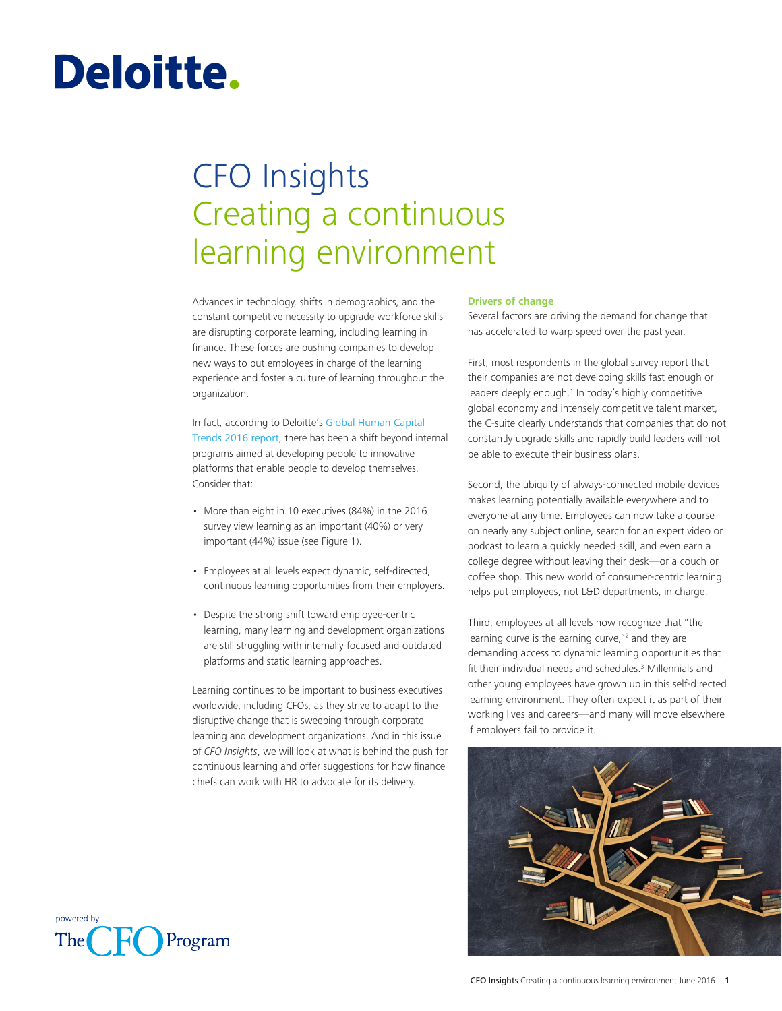# Deloitte.

# CFO Insights Creating a continuous learning environment

Advances in technology, shifts in demographics, and the constant competitive necessity to upgrade workforce skills are disrupting corporate learning, including learning in finance. These forces are pushing companies to develop new ways to put employees in charge of the learning experience and foster a culture of learning throughout the organization.

In fact, according to Deloitte's [Global Human Capital](http://www2.deloitte.com/us/en/pages/human-capital/articles/introduction-human-capital-trends.html)  [Trends 2016 report](http://www2.deloitte.com/us/en/pages/human-capital/articles/introduction-human-capital-trends.html), there has been a shift beyond internal programs aimed at developing people to innovative platforms that enable people to develop themselves. Consider that:

- More than eight in 10 executives (84%) in the 2016 survey view learning as an important (40%) or very important (44%) issue (see Figure 1).
- Employees at all levels expect dynamic, self-directed, continuous learning opportunities from their employers.
- Despite the strong shift toward employee-centric learning, many learning and development organizations are still struggling with internally focused and outdated platforms and static learning approaches.

Learning continues to be important to business executives worldwide, including CFOs, as they strive to adapt to the disruptive change that is sweeping through corporate learning and development organizations. And in this issue of *CFO Insights*, we will look at what is behind the push for continuous learning and offer suggestions for how finance chiefs can work with HR to advocate for its delivery.

### **Drivers of change**

Several factors are driving the demand for change that has accelerated to warp speed over the past year.

First, most respondents in the global survey report that their companies are not developing skills fast enough or leaders deeply enough.<sup>1</sup> In today's highly competitive global economy and intensely competitive talent market, the C-suite clearly understands that companies that do not constantly upgrade skills and rapidly build leaders will not be able to execute their business plans.

Second, the ubiquity of always-connected mobile devices makes learning potentially available everywhere and to everyone at any time. Employees can now take a course on nearly any subject online, search for an expert video or podcast to learn a quickly needed skill, and even earn a college degree without leaving their desk—or a couch or coffee shop. This new world of consumer-centric learning helps put employees, not L&D departments, in charge.

Third, employees at all levels now recognize that "the learning curve is the earning curve,"<sup>2</sup> and they are demanding access to dynamic learning opportunities that fit their individual needs and schedules.<sup>3</sup> Millennials and other young employees have grown up in this self-directed learning environment. They often expect it as part of their working lives and careers—and many will move elsewhere if employers fail to provide it.



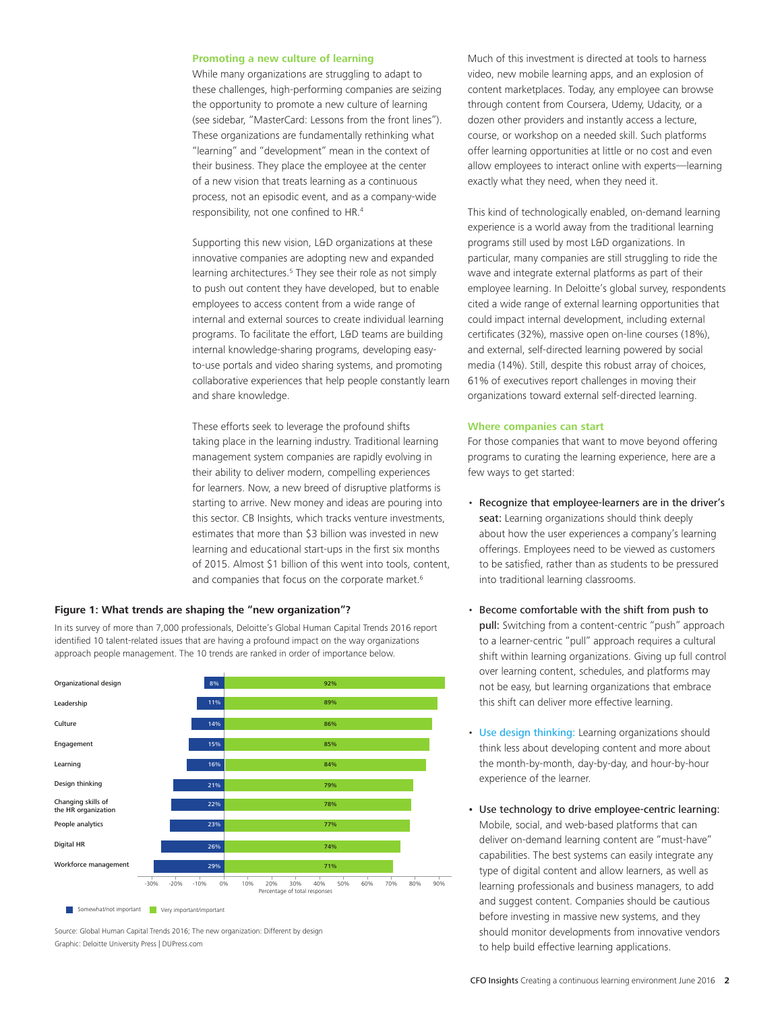#### **Promoting a new culture of learning**

While many organizations are struggling to adapt to these challenges, high-performing companies are seizing the opportunity to promote a new culture of learning (see sidebar, "MasterCard: Lessons from the front lines"). These organizations are fundamentally rethinking what "learning" and "development" mean in the context of their business. They place the employee at the center of a new vision that treats learning as a continuous process, not an episodic event, and as a company-wide responsibility, not one confined to HR.4

Supporting this new vision, L&D organizations at these innovative companies are adopting new and expanded learning architectures.<sup>5</sup> They see their role as not simply to push out content they have developed, but to enable employees to access content from a wide range of internal and external sources to create individual learning programs. To facilitate the effort, L&D teams are building internal knowledge-sharing programs, developing easyto-use portals and video sharing systems, and promoting collaborative experiences that help people constantly learn and share knowledge.

These efforts seek to leverage the profound shifts taking place in the learning industry. Traditional learning management system companies are rapidly evolving in their ability to deliver modern, compelling experiences for learners. Now, a new breed of disruptive platforms is starting to arrive. New money and ideas are pouring into this sector. CB Insights, which tracks venture investments, estimates that more than \$3 billion was invested in new learning and educational start-ups in the first six months of 2015. Almost \$1 billion of this went into tools, content, and companies that focus on the corporate market.<sup>6</sup>

# **Figure 1: What trends are shaping the "new organization"?**

**Figure 2. The 10 trends ranked in order of importance** approach people management. The 10 trends are ranked in order of importance below.In its survey of more than 7,000 professionals, Deloitte's Global Human Capital Trends 2016 report identified 10 talent-related issues that are having a profound impact on the way organizations



Source: Global Human Capital Trends 2016; The new organization: Different by design Graphic: Deloitte University Press | DUPress.com

Much of this investment is directed at tools to harness video, new mobile learning apps, and an explosion of content marketplaces. Today, any employee can browse through content from Coursera, Udemy, Udacity, or a dozen other providers and instantly access a lecture, course, or workshop on a needed skill. Such platforms offer learning opportunities at little or no cost and even allow employees to interact online with experts—learning exactly what they need, when they need it.

This kind of technologically enabled, on-demand learning experience is a world away from the traditional learning programs still used by most L&D organizations. In particular, many companies are still struggling to ride the wave and integrate external platforms as part of their employee learning. In Deloitte's global survey, respondents cited a wide range of external learning opportunities that could impact internal development, including external certificates (32%), massive open on-line courses (18%), and external, self-directed learning powered by social media (14%). Still, despite this robust array of choices, 61% of executives report challenges in moving their organizations toward external self-directed learning.

#### **Where companies can start**

For those companies that want to move beyond offering programs to curating the learning experience, here are a few ways to get started:

- Recognize that employee-learners are in the driver's seat: Learning organizations should think deeply about how the user experiences a company's learning offerings. Employees need to be viewed as customers to be satisfied, rather than as students to be pressured into traditional learning classrooms.
- Become comfortable with the shift from push to pull: Switching from a content-centric "push" approach to a learner-centric "pull" approach requires a cultural shift within learning organizations. Giving up full control over learning content, schedules, and platforms may not be easy, but learning organizations that embrace this shift can deliver more effective learning.
- [Use design thinking:](http://dupress.com/articles/employee-experience-management-design-thinking) Learning organizations should think less about developing content and more about the month-by-month, day-by-day, and hour-by-hour experience of the learner.
- Use technology to drive employee-centric learning: Mobile, social, and web-based platforms that can deliver on-demand learning content are "must-have" capabilities. The best systems can easily integrate any type of digital content and allow learners, as well as learning professionals and business managers, to add and suggest content. Companies should be cautious before investing in massive new systems, and they should monitor developments from innovative vendors to help build effective learning applications.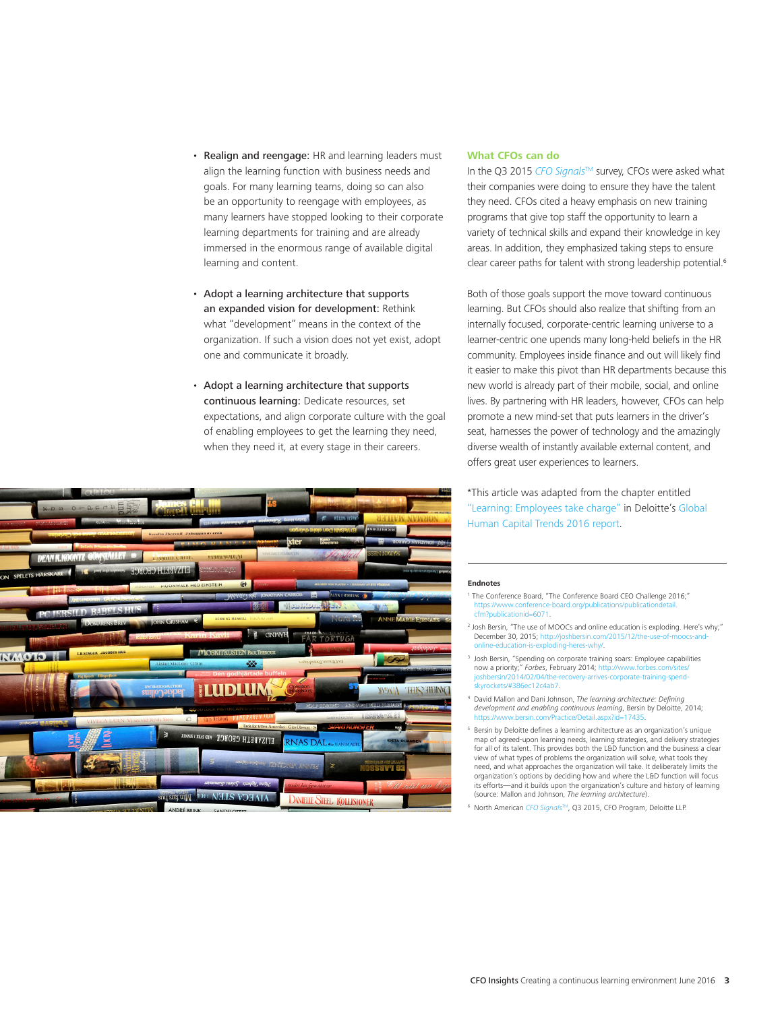- Realign and reengage: HR and learning leaders must align the learning function with business needs and goals. For many learning teams, doing so can also be an opportunity to reengage with employees, as many learners have stopped looking to their corporate learning departments for training and are already immersed in the enormous range of available digital learning and content.
- Adopt a learning architecture that supports an expanded vision for development: Rethink what "development" means in the context of the organization. If such a vision does not yet exist, adopt one and communicate it broadly.
- Adopt a learning architecture that supports continuous learning: Dedicate resources, set expectations, and align corporate culture with the goal of enabling employees to get the learning they need, when they need it, at every stage in their careers.



### **What CFOs can do**

In the Q3 2015 *[CFO Signals](http://www2.deloitte.com/us/en/pages/finance/articles/cfo-signals-survey-executives-sentiment-broad-based-concern-2015q3.html)*TM survey, CFOs were asked what their companies were doing to ensure they have the talent they need. CFOs cited a heavy emphasis on new training programs that give top staff the opportunity to learn a variety of technical skills and expand their knowledge in key areas. In addition, they emphasized taking steps to ensure clear career paths for talent with strong leadership potential.<sup>6</sup>

Both of those goals support the move toward continuous learning. But CFOs should also realize that shifting from an internally focused, corporate-centric learning universe to a learner-centric one upends many long-held beliefs in the HR community. Employees inside finance and out will likely find it easier to make this pivot than HR departments because this new world is already part of their mobile, social, and online lives. By partnering with HR leaders, however, CFOs can help promote a new mind-set that puts learners in the driver's seat, harnesses the power of technology and the amazingly diverse wealth of instantly available external content, and offers great user experiences to learners.

\*This article was adapted from the chapter entitled ["Learning: Employees take charge"](http://dupress.com/articles/fostering-culture-of-learning-for-employees/) in Deloitte's [Global](http://www2.deloitte.com/us/en/pages/human-capital/articles/introduction-human-capital-trends.html)  [Human Capital Trends 2016 report](http://www2.deloitte.com/us/en/pages/human-capital/articles/introduction-human-capital-trends.html).

#### **Endnotes**

- 1 The Conference Board, "The Conference Board CEO Challenge 2016;" https://www.conference-board.org/publications/pub cfm?publicationid=6071.
- <sup>2</sup> Josh Bersin, "The use of MOOCs and online education is exploding. Here's why;" December 30, 2015; http://joshbersin.com/2015/12/the-use-ofs-exploding-heres-why/.
- <sup>3</sup> Josh Bersin, "Spending on corporate training soars: Employee capabilities now a priority;" *Forbes*, February 2014; http://www.forbes.com/sites/ shbersin/2014/02/04/theskyrockets/#386ec12c4ab7.
- <sup>4</sup> David Mallon and Dani Johnson, *The learning architecture: Defining development and enabling continuous learning*, Bersin by Deloitte, 2014;<br>https://www.bersin.com/Practice/Detail aspx?id=17435 https://www.bersin.com/Practice/Detail.aspx?id=17435.
- <sup>5</sup> Bersin by Deloitte defines a learning architecture as an organization's unique map of agreed-upon learning needs, learning strategies, and delivery strategies for all of its talent. This provides both the L&D function and the business a clear view of what types of problems the organization will solve, what tools they need, and what approaches the organization will take. It deliberately limits the organization's options by deciding how and where the L&D function will focus its efforts—and it builds upon the organization's culture and history of learning (source: Mallon and Johnson, *The learning architecture*).
- <sup>6</sup> North American *[CFO Signals](http://www2.deloitte.com/us/en/pages/finance/articles/cfo-signals-survey-executives-sentiment-broad-based-concern-2015q3.html)*TM, Q3 2015, CFO Program, Deloitte LLP.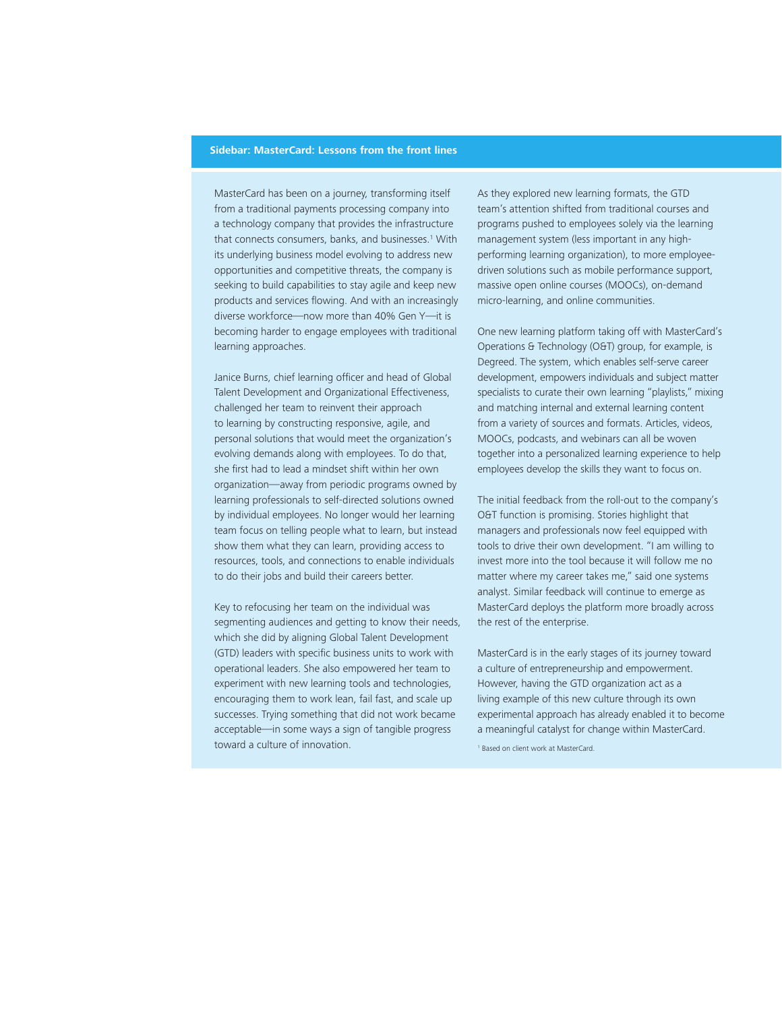### **Sidebar: MasterCard: Lessons from the front lines**

MasterCard has been on a journey, transforming itself from a traditional payments processing company into a technology company that provides the infrastructure that connects consumers, banks, and businesses.<sup>1</sup> With its underlying business model evolving to address new opportunities and competitive threats, the company is seeking to build capabilities to stay agile and keep new products and services flowing. And with an increasingly diverse workforce—now more than 40% Gen Y—it is becoming harder to engage employees with traditional learning approaches.

Janice Burns, chief learning officer and head of Global Talent Development and Organizational Effectiveness, challenged her team to reinvent their approach to learning by constructing responsive, agile, and personal solutions that would meet the organization's evolving demands along with employees. To do that, she first had to lead a mindset shift within her own organization—away from periodic programs owned by learning professionals to self-directed solutions owned by individual employees. No longer would her learning team focus on telling people what to learn, but instead show them what they can learn, providing access to resources, tools, and connections to enable individuals to do their jobs and build their careers better.

Key to refocusing her team on the individual was segmenting audiences and getting to know their needs, which she did by aligning Global Talent Development (GTD) leaders with specific business units to work with operational leaders. She also empowered her team to experiment with new learning tools and technologies, encouraging them to work lean, fail fast, and scale up successes. Trying something that did not work became acceptable—in some ways a sign of tangible progress toward a culture of innovation.

As they explored new learning formats, the GTD team's attention shifted from traditional courses and programs pushed to employees solely via the learning management system (less important in any highperforming learning organization), to more employeedriven solutions such as mobile performance support, massive open online courses (MOOCs), on-demand micro-learning, and online communities.

One new learning platform taking off with MasterCard's Operations & Technology (O&T) group, for example, is Degreed. The system, which enables self-serve career development, empowers individuals and subject matter specialists to curate their own learning "playlists," mixing and matching internal and external learning content from a variety of sources and formats. Articles, videos, MOOCs, podcasts, and webinars can all be woven together into a personalized learning experience to help employees develop the skills they want to focus on.

The initial feedback from the roll-out to the company's O&T function is promising. Stories highlight that managers and professionals now feel equipped with tools to drive their own development. "I am willing to invest more into the tool because it will follow me no matter where my career takes me," said one systems analyst. Similar feedback will continue to emerge as MasterCard deploys the platform more broadly across the rest of the enterprise.

MasterCard is in the early stages of its journey toward a culture of entrepreneurship and empowerment. However, having the GTD organization act as a living example of this new culture through its own experimental approach has already enabled it to become a meaningful catalyst for change within MasterCard.

1 Based on client work at MasterCard.